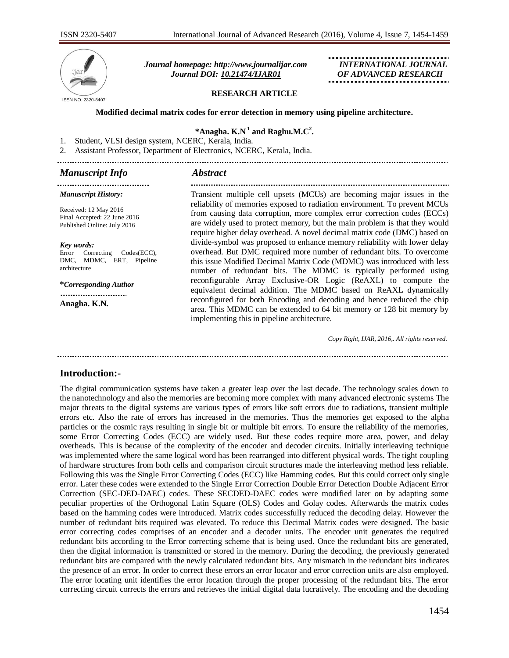

 *Journal homepage: [http://www.journalijar.com](http://www.journalijar.com/) INTERNATIONAL JOURNAL Journal DOI: [10.21474/IJAR01](http://dx.doi.org/10.21474/IJAR01) OF ADVANCED RESEARCH*

### **RESEARCH ARTICLE**

### **Modified decimal matrix codes for error detection in memory using pipeline architecture.**

## **\*Anagha. K.N <sup>1</sup> and Raghu.M.C<sup>2</sup> .**

1. Student, VLSI design system, NCERC, Kerala, India.

2. Assistant Professor, Department of Electronics, NCERC, Kerala, India.

## *Manuscript Info Abstract*

....................................

#### *Manuscript History:*

Received: 12 May 2016 Final Accepted: 22 June 2016 Published Online: July 2016

#### *Key words:*

Error Correcting Codes(ECC), DMC, MDMC, ERT, Pipeline architecture

**\****Corresponding Author* ..........................

**Anagha. K.N.**

Transient multiple cell upsets (MCUs) are becoming major issues in the reliability of memories exposed to radiation environment. To prevent MCUs from causing data corruption, more complex error correction codes (ECCs) are widely used to protect memory, but the main problem is that they would require higher delay overhead. A novel decimal matrix code (DMC) based on divide-symbol was proposed to enhance memory reliability with lower delay overhead. But DMC required more number of redundant bits. To overcome this issue Modified Decimal Matrix Code (MDMC) was introduced with less number of redundant bits. The MDMC is typically performed using reconfigurable Array Exclusive-OR Logic (ReAXL) to compute the equivalent decimal addition. The MDMC based on ReAXL dynamically reconfigured for both Encoding and decoding and hence reduced the chip area. This MDMC can be extended to 64 bit memory or 128 bit memory by implementing this in pipeline architecture.

*Copy Right, IJAR, 2016,. All rights reserved.*

## **Introduction:-**

The digital communication systems have taken a greater leap over the last decade. The technology scales down to the nanotechnology and also the memories are becoming more complex with many advanced electronic systems The major threats to the digital systems are various types of errors like soft errors due to radiations, transient multiple errors etc. Also the rate of errors has increased in the memories. Thus the memories get exposed to the alpha particles or the cosmic rays resulting in single bit or multiple bit errors. To ensure the reliability of the memories, some Error Correcting Codes (ECC) are widely used. But these codes require more area, power, and delay overheads. This is because of the complexity of the encoder and decoder circuits. Initially interleaving technique was implemented where the same logical word has been rearranged into different physical words. The tight coupling of hardware structures from both cells and comparison circuit structures made the interleaving method less reliable. Following this was the Single Error Correcting Codes (ECC) like Hamming codes. But this could correct only single error. Later these codes were extended to the Single Error Correction Double Error Detection Double Adjacent Error Correction (SEC-DED-DAEC) codes. These SECDED-DAEC codes were modified later on by adapting some peculiar properties of the Orthogonal Latin Square (OLS) Codes and Golay codes. Afterwards the matrix codes based on the hamming codes were introduced. Matrix codes successfully reduced the decoding delay. However the number of redundant bits required was elevated. To reduce this Decimal Matrix codes were designed. The basic error correcting codes comprises of an encoder and a decoder units. The encoder unit generates the required redundant bits according to the Error correcting scheme that is being used. Once the redundant bits are generated, then the digital information is transmitted or stored in the memory. During the decoding, the previously generated redundant bits are compared with the newly calculated redundant bits. Any mismatch in the redundant bits indicates the presence of an error. In order to correct these errors an error locator and error correction units are also employed. The error locating unit identifies the error location through the proper processing of the redundant bits. The error correcting circuit corrects the errors and retrieves the initial digital data lucratively. The encoding and the decoding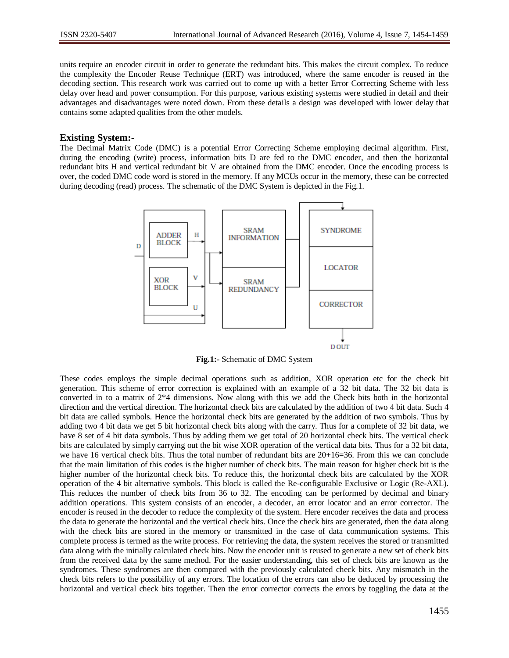units require an encoder circuit in order to generate the redundant bits. This makes the circuit complex. To reduce the complexity the Encoder Reuse Technique (ERT) was introduced, where the same encoder is reused in the decoding section. This research work was carried out to come up with a better Error Correcting Scheme with less delay over head and power consumption. For this purpose, various existing systems were studied in detail and their advantages and disadvantages were noted down. From these details a design was developed with lower delay that contains some adapted qualities from the other models.

## **Existing System:-**

The Decimal Matrix Code (DMC) is a potential Error Correcting Scheme employing decimal algorithm. First, during the encoding (write) process, information bits D are fed to the DMC encoder, and then the horizontal redundant bits H and vertical redundant bit V are obtained from the DMC encoder. Once the encoding process is over, the coded DMC code word is stored in the memory. If any MCUs occur in the memory, these can be corrected during decoding (read) process. The schematic of the DMC System is depicted in the Fig.1.



**Fig.1:-** Schematic of DMC System

These codes employs the simple decimal operations such as addition, XOR operation etc for the check bit generation. This scheme of error correction is explained with an example of a 32 bit data. The 32 bit data is converted in to a matrix of 2\*4 dimensions. Now along with this we add the Check bits both in the horizontal direction and the vertical direction. The horizontal check bits are calculated by the addition of two 4 bit data. Such 4 bit data are called symbols. Hence the horizontal check bits are generated by the addition of two symbols. Thus by adding two 4 bit data we get 5 bit horizontal check bits along with the carry. Thus for a complete of 32 bit data, we have 8 set of 4 bit data symbols. Thus by adding them we get total of 20 horizontal check bits. The vertical check bits are calculated by simply carrying out the bit wise XOR operation of the vertical data bits. Thus for a 32 bit data, we have 16 vertical check bits. Thus the total number of redundant bits are 20+16=36. From this we can conclude that the main limitation of this codes is the higher number of check bits. The main reason for higher check bit is the higher number of the horizontal check bits. To reduce this, the horizontal check bits are calculated by the XOR operation of the 4 bit alternative symbols. This block is called the Re-configurable Exclusive or Logic (Re-AXL). This reduces the number of check bits from 36 to 32. The encoding can be performed by decimal and binary addition operations. This system consists of an encoder, a decoder, an error locator and an error corrector. The encoder is reused in the decoder to reduce the complexity of the system. Here encoder receives the data and process the data to generate the horizontal and the vertical check bits. Once the check bits are generated, then the data along with the check bits are stored in the memory or transmitted in the case of data communication systems. This complete process is termed as the write process. For retrieving the data, the system receives the stored or transmitted data along with the initially calculated check bits. Now the encoder unit is reused to generate a new set of check bits from the received data by the same method. For the easier understanding, this set of check bits are known as the syndromes. These syndromes are then compared with the previously calculated check bits. Any mismatch in the check bits refers to the possibility of any errors. The location of the errors can also be deduced by processing the horizontal and vertical check bits together. Then the error corrector corrects the errors by toggling the data at the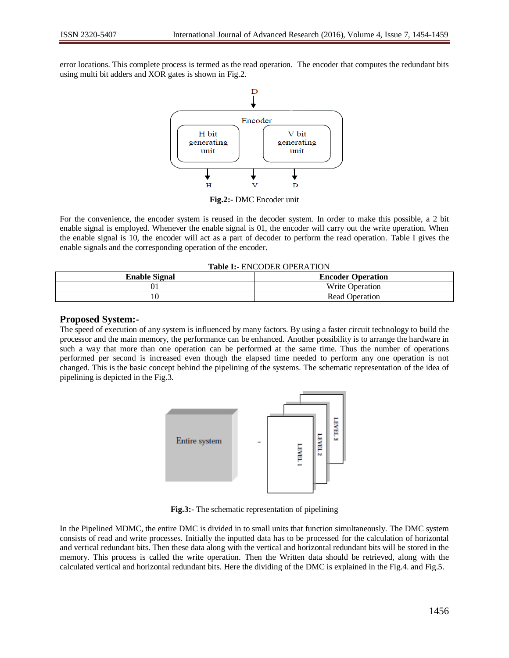error locations. This complete process is termed as the read operation. The encoder that computes the redundant bits using multi bit adders and XOR gates is shown in Fig.2.



**Fig.2:-** DMC Encoder unit

For the convenience, the encoder system is reused in the decoder system. In order to make this possible, a 2 bit enable signal is employed. Whenever the enable signal is 01, the encoder will carry out the write operation. When the enable signal is 10, the encoder will act as a part of decoder to perform the read operation. Table I gives the enable signals and the corresponding operation of the encoder.

**Table I:-** ENCODER OPERATION

| <b>Enable Signal</b> | <b>Encoder Operation</b> |  |
|----------------------|--------------------------|--|
| Uı                   | <b>Write Operation</b>   |  |
|                      | Read Operation           |  |
|                      |                          |  |

# **Proposed System:-**

The speed of execution of any system is influenced by many factors. By using a faster circuit technology to build the processor and the main memory, the performance can be enhanced. Another possibility is to arrange the hardware in such a way that more than one operation can be performed at the same time. Thus the number of operations performed per second is increased even though the elapsed time needed to perform any one operation is not changed. This is the basic concept behind the pipelining of the systems. The schematic representation of the idea of pipelining is depicted in the Fig.3.



**Fig.3:-** The schematic representation of pipelining

In the Pipelined MDMC, the entire DMC is divided in to small units that function simultaneously. The DMC system consists of read and write processes. Initially the inputted data has to be processed for the calculation of horizontal and vertical redundant bits. Then these data along with the vertical and horizontal redundant bits will be stored in the memory. This process is called the write operation. Then the Written data should be retrieved, along with the calculated vertical and horizontal redundant bits. Here the dividing of the DMC is explained in the Fig.4. and Fig.5.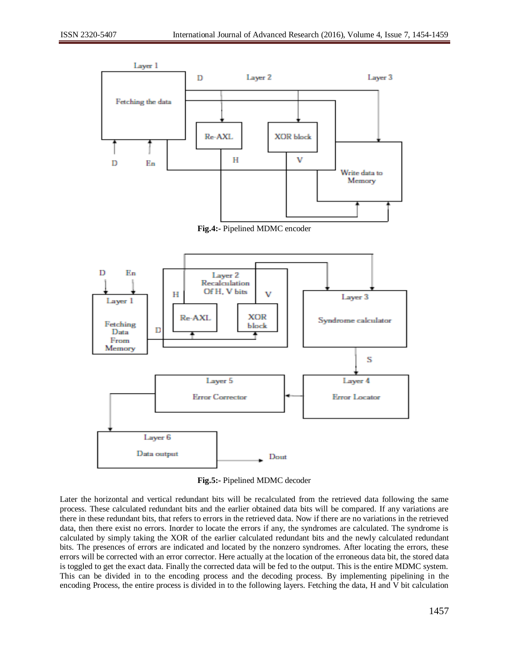



**Fig.5:-** Pipelined MDMC decoder

Later the horizontal and vertical redundant bits will be recalculated from the retrieved data following the same process. These calculated redundant bits and the earlier obtained data bits will be compared. If any variations are there in these redundant bits, that refers to errors in the retrieved data. Now if there are no variations in the retrieved data, then there exist no errors. Inorder to locate the errors if any, the syndromes are calculated. The syndrome is calculated by simply taking the XOR of the earlier calculated redundant bits and the newly calculated redundant bits. The presences of errors are indicated and located by the nonzero syndromes. After locating the errors, these errors will be corrected with an error corrector. Here actually at the location of the erroneous data bit, the stored data is toggled to get the exact data. Finally the corrected data will be fed to the output. This is the entire MDMC system. This can be divided in to the encoding process and the decoding process. By implementing pipelining in the encoding Process, the entire process is divided in to the following layers. Fetching the data, H and V bit calculation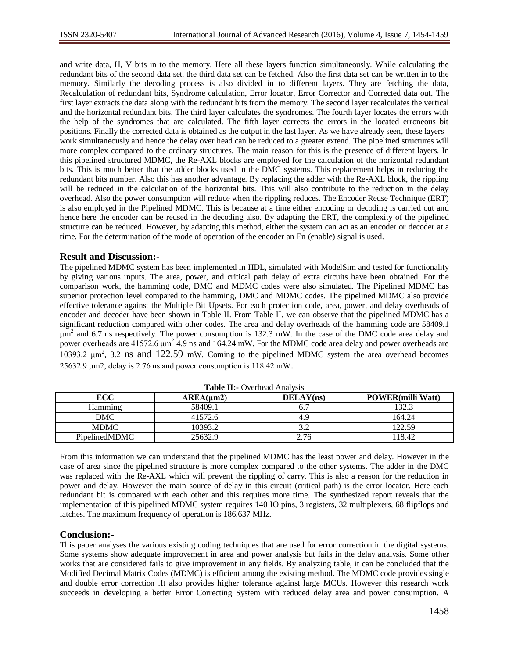and write data, H, V bits in to the memory. Here all these layers function simultaneously. While calculating the redundant bits of the second data set, the third data set can be fetched. Also the first data set can be written in to the memory. Similarly the decoding process is also divided in to different layers. They are fetching the data, Recalculation of redundant bits, Syndrome calculation, Error locator, Error Corrector and Corrected data out. The first layer extracts the data along with the redundant bits from the memory. The second layer recalculates the vertical and the horizontal redundant bits. The third layer calculates the syndromes. The fourth layer locates the errors with the help of the syndromes that are calculated. The fifth layer corrects the errors in the located erroneous bit positions. Finally the corrected data is obtained as the output in the last layer. As we have already seen, these layers work simultaneously and hence the delay over head can be reduced to a greater extend. The pipelined structures will more complex compared to the ordinary structures. The main reason for this is the presence of different layers. In this pipelined structured MDMC, the Re-AXL blocks are employed for the calculation of the horizontal redundant bits. This is much better that the adder blocks used in the DMC systems. This replacement helps in reducing the redundant bits number. Also this has another advantage. By replacing the adder with the Re-AXL block, the rippling will be reduced in the calculation of the horizontal bits. This will also contribute to the reduction in the delay overhead. Also the power consumption will reduce when the rippling reduces. The Encoder Reuse Technique (ERT) is also employed in the Pipelined MDMC. This is because at a time either encoding or decoding is carried out and hence here the encoder can be reused in the decoding also. By adapting the ERT, the complexity of the pipelined structure can be reduced. However, by adapting this method, either the system can act as an encoder or decoder at a time. For the determination of the mode of operation of the encoder an En (enable) signal is used.

# **Result and Discussion:-**

The pipelined MDMC system has been implemented in HDL, simulated with ModelSim and tested for functionality by giving various inputs. The area, power, and critical path delay of extra circuits have been obtained. For the comparison work, the hamming code, DMC and MDMC codes were also simulated. The Pipelined MDMC has superior protection level compared to the hamming, DMC and MDMC codes. The pipelined MDMC also provide effective tolerance against the Multiple Bit Upsets. For each protection code, area, power, and delay overheads of encoder and decoder have been shown in Table II. From Table II, we can observe that the pipelined MDMC has a significant reduction compared with other codes. The area and delay overheads of the hamming code are 58409.1  $\mu$ m<sup>2</sup> and 6.7 ns respectively. The power consumption is 132.3 mW. In the case of the DMC code area delay and power overheads are  $41572.6 \mu m^2$  4.9 ns and 164.24 mW. For the MDMC code area delay and power overheads are 10393.2  $μm<sup>2</sup>$ , 3.2 ns and 122.59 mW. Coming to the pipelined MDMC system the area overhead becomes 25632.9 μm2, delay is 2.76 ns and power consumption is 118.42 mW.

| <b>rapic 11.</b> Overlieau 7 mai vois |                |           |                          |
|---------------------------------------|----------------|-----------|--------------------------|
| <b>ECC</b>                            | $AREA(\mu m2)$ | DELAY(ns) | <b>POWER(milli Watt)</b> |
| <b>Hamming</b>                        | 58409.1        |           | 132.3                    |
| DMC                                   | 41572.6        | 4.9       | 164.24                   |
| <b>MDMC</b>                           | 10393.2        |           | 122.59                   |
| PipelinedMDMC                         | 25632.9        | 2.76      | ' 18.42                  |

**Table II:-** Overhead Analysis

From this information we can understand that the pipelined MDMC has the least power and delay. However in the case of area since the pipelined structure is more complex compared to the other systems. The adder in the DMC was replaced with the Re-AXL which will prevent the rippling of carry. This is also a reason for the reduction in power and delay. However the main source of delay in this circuit (critical path) is the error locator. Here each redundant bit is compared with each other and this requires more time. The synthesized report reveals that the implementation of this pipelined MDMC system requires 140 IO pins, 3 registers, 32 multiplexers, 68 flipflops and latches. The maximum frequency of operation is 186.637 MHz.

# **Conclusion:-**

This paper analyses the various existing coding techniques that are used for error correction in the digital systems. Some systems show adequate improvement in area and power analysis but fails in the delay analysis. Some other works that are considered fails to give improvement in any fields. By analyzing table, it can be concluded that the Modified Decimal Matrix Codes (MDMC) is efficient among the existing method. The MDMC code provides single and double error correction .It also provides higher tolerance against large MCUs. However this research work succeeds in developing a better Error Correcting System with reduced delay area and power consumption. A